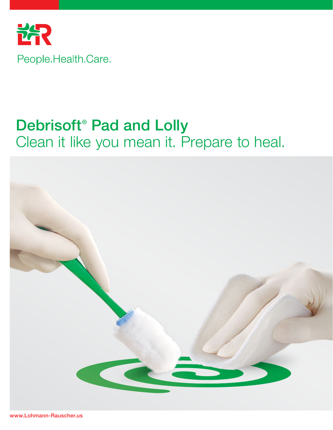

# Debrisoft<sup>®</sup> Pad and Lolly Clean it like you mean it. Prepare to heal.

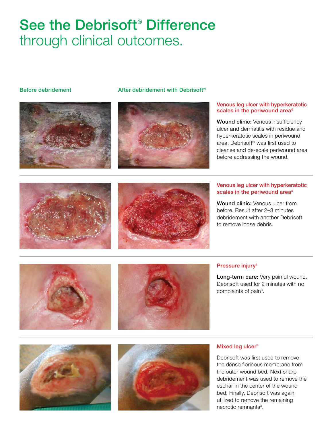# See the Debrisoft<sup>®</sup> Difference through clinical outcomes.









### Pressure injury4

Long-term care: Very painful wound. Debrisoft used for 2 minutes with no complaints of pain<sup>3</sup>.





### Mixed leg ulcer<sup>5</sup>

Debrisoft was first used to remove the dense fibrinous membrane from the outer wound bed. Next sharp debridement was used to remove the eschar in the center of the wound bed. Finally, Debrisoft was again utilized to remove the remaining necrotic remnants<sup>4</sup>.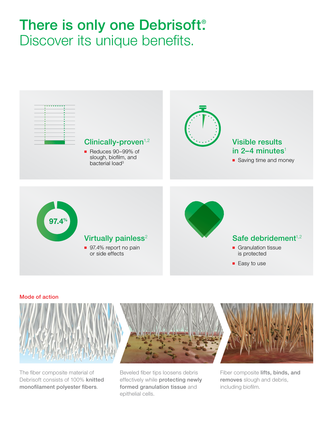# There is only one Debrisoft<sup>®</sup>. Discover its unique benefits.



### Mode of action



The fiber composite material of Debrisoft consists of 100% knitted monofilament polyester fibers.

Beveled fiber tips loosens debris effectively while protecting newly formed granulation tissue and epithelial cells.

Fiber composite lifts, binds, and removes slough and debris, including biofilm.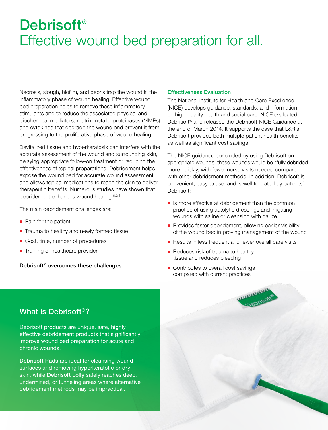# Debrisoft<sup>®</sup> Effective wound bed preparation for all.

Necrosis, slough, biofilm, and debris trap the wound in the inflammatory phase of wound healing. Effective wound bed preparation helps to remove these inflammatory stimulants and to reduce the associated physical and biochemical mediators, matrix metallo-proteinases (MMPs) and cytokines that degrade the wound and prevent it from progressing to the proliferative phase of wound healing.

Devitalized tissue and hyperkeratosis can interfere with the accurate assessment of the wound and surrounding skin, delaying appropriate follow-on treatment or reducing the effectiveness of topical preparations. Debridement helps expose the wound bed for accurate wound assessment and allows topical medications to reach the skin to deliver therapeutic benefits. Numerous studies have shown that debridement enhances wound healing.<sup>6,2,8</sup>

The main debridement challenges are:

- Pain for the patient
- Trauma to healthy and newly formed tissue
- Cost, time, number of procedures
- Training of healthcare provider

Debrisoft® overcomes these challenges.

### Effectiveness Evaluation

The National Institute for Health and Care Excellence (NICE) develops guidance, standards, and information on high-quality health and social care. NICE evaluated Debrisoft® and released the Debrisoft NICE Guidance at the end of March 2014. It supports the case that L&R's Debrisoft provides both multiple patient health benefits as well as significant cost savings.

The NICE guidance concluded by using Debrisoft on appropriate wounds, these wounds would be "fully debrided more quickly, with fewer nurse visits needed compared with other debridement methods. In addition, Debrisoft is convenient, easy to use, and is well tolerated by patients". Debrisoft:

- Is more effective at debridement than the common practice of using autolytic dressings and irrigating wounds with saline or cleansing with gauze.
- Provides faster debridement, allowing earlier visibility of the wound bed improving management of the wound
- Results in less frequent and fewer overall care visits
- Reduces risk of trauma to healthy tissue and reduces bleeding
- Contributes to overall cost savings compared with current practices

# What is Debrisoft®?

Debrisoft products are unique, safe, highly effective debridement products that significantly improve wound bed preparation for acute and chronic wounds.

Debrisoft Pads are ideal for cleansing wound surfaces and removing hyperkeratotic or dry skin, while Debrisoft Lolly safely reaches deep, undermined, or tunneling areas where alternative debridement methods may be impractical.

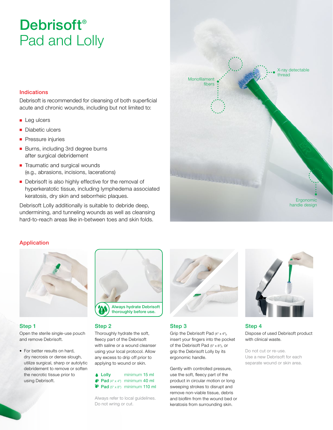# Debrisoft<sup>®</sup> Pad and Lolly

# Indications

Debrisoft is recommended for cleansing of both superficial acute and chronic wounds, including but not limited to:

- Leg ulcers
- Diabetic ulcers
- Pressure injuries
- Burns, including 3rd degree burns after surgical debridement
- Traumatic and surgical wounds (e.g., abrasions, incisions, lacerations)
- Debrisoft is also highly effective for the removal of hyperkeratotic tissue, including lymphedema associated keratosis, dry skin and seborrheic plaques.

Debrisoft Lolly additionally is suitable to debride deep, undermining, and tunneling wounds as well as cleansing hard-to-reach areas like in-between toes and skin folds.



# Application



# Step 1

Open the sterile single-use pouch and remove Debrisoft.

◆ For better results on hard, dry necrosis or dense slough, utilize surgical, sharp or autolytic debridement to remove or soften the necrotic tissue prior to using Debrisoft.



## Step 2

Thoroughly hydrate the soft, fleecy part of the Debrisoft with saline or a wound cleanser using your local protocol. Allow any excess to drip off prior to applying to wound or skin.

Lolly minimum 15 ml  $\bullet$  Pad (4" x 4") minimum 40 ml  $\bullet$  Pad (5" x 8") minimum 110 ml

Always refer to local guidelines. Do not wring or cut.



## Step 3

Grip the Debrisoft Pad (4" x 4"), insert your fingers into the pocket of the Debrisoft Pad (5" x 8"), or grip the Debrisoft Lolly by its ergonomic handle.

Gently with controlled pressure, use the soft, fleecy part of the product in circular motion or long sweeping strokes to disrupt and remove non-viable tissue, debris and biofilm from the wound bed or keratosis from surrounding skin.



Step 4

Dispose of used Debrisoft product with clinical waste.

Do not cut or re-use. Use a new Debrisoft for each separate wound or skin area.